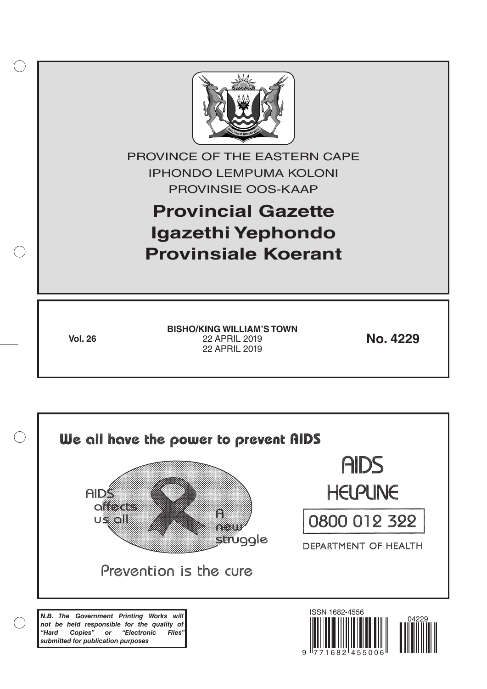

Prevention is the cure

*N.B. The Government Printing Works will not be held responsible for the quality of "Hard Copies" or "Electronic Files" submitted for publication purposes*

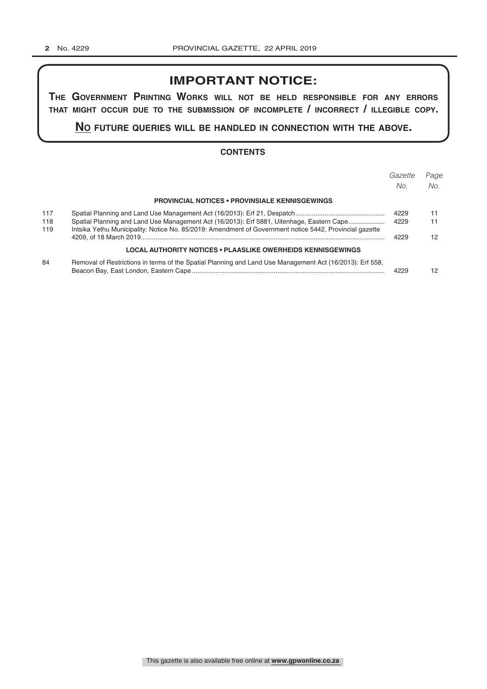# **IMPORTANT NOTICE:**

**The GovernmenT PrinTinG Works Will noT be held resPonsible for any errors ThaT miGhT occur due To The submission of incomPleTe / incorrecT / illeGible coPy.**

**no fuTure queries Will be handled in connecTion WiTh The above.**

### **CONTENTS**

|     |                                                                                                          | Gazette | Page |
|-----|----------------------------------------------------------------------------------------------------------|---------|------|
|     |                                                                                                          | No.     | No.  |
|     | <b>PROVINCIAL NOTICES • PROVINSIALE KENNISGEWINGS</b>                                                    |         |      |
| 117 |                                                                                                          | 4229    | 11   |
| 118 | Spatial Planning and Land Use Management Act (16/2013): Erf 5881, Uitenhage, Eastern Cape                | 4229    | 11   |
| 119 | Intsika Yethu Municipality: Notice No. 85/2019: Amendment of Government notice 5442, Provincial gazette  |         |      |
|     |                                                                                                          | 4229    | 12   |
|     | <b>LOCAL AUTHORITY NOTICES • PLAASLIKE OWERHEIDS KENNISGEWINGS</b>                                       |         |      |
| 84  | Removal of Restrictions in terms of the Spatial Planning and Land Use Management Act (16/2013): Erf 558, | 4229    | 12   |
|     |                                                                                                          |         |      |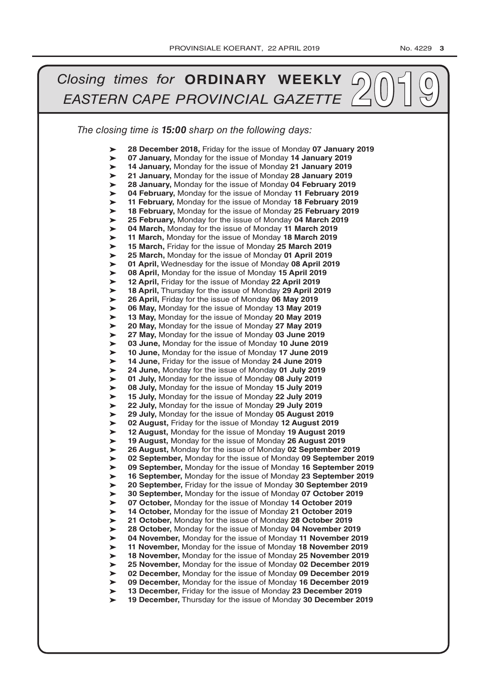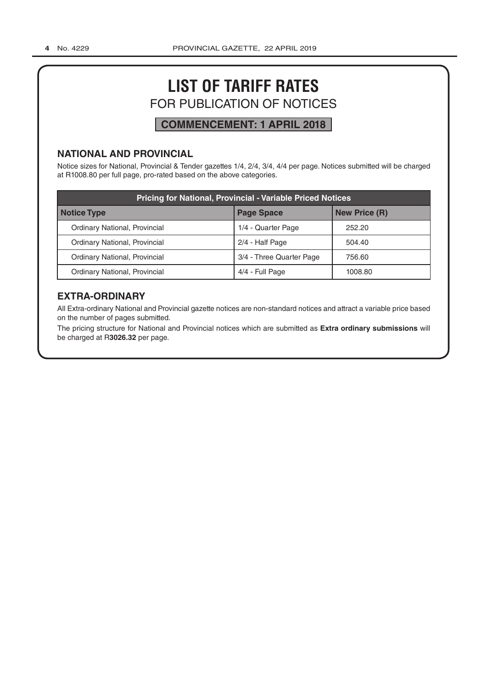# **LIST OF TARIFF RATES** FOR PUBLICATION OF NOTICES

# **COMMENCEMENT: 1 APRIL 2018**

# **NATIONAL AND PROVINCIAL**

Notice sizes for National, Provincial & Tender gazettes 1/4, 2/4, 3/4, 4/4 per page. Notices submitted will be charged at R1008.80 per full page, pro-rated based on the above categories.

| <b>Pricing for National, Provincial - Variable Priced Notices</b> |                          |                      |  |
|-------------------------------------------------------------------|--------------------------|----------------------|--|
| <b>Notice Type</b>                                                | <b>Page Space</b>        | <b>New Price (R)</b> |  |
| Ordinary National, Provincial                                     | 1/4 - Quarter Page       | 252.20               |  |
| Ordinary National, Provincial                                     | 2/4 - Half Page          | 504.40               |  |
| Ordinary National, Provincial                                     | 3/4 - Three Quarter Page | 756.60               |  |
| Ordinary National, Provincial                                     | 4/4 - Full Page          | 1008.80              |  |

# **EXTRA-ORDINARY**

All Extra-ordinary National and Provincial gazette notices are non-standard notices and attract a variable price based on the number of pages submitted.

The pricing structure for National and Provincial notices which are submitted as **Extra ordinary submissions** will be charged at R**3026.32** per page.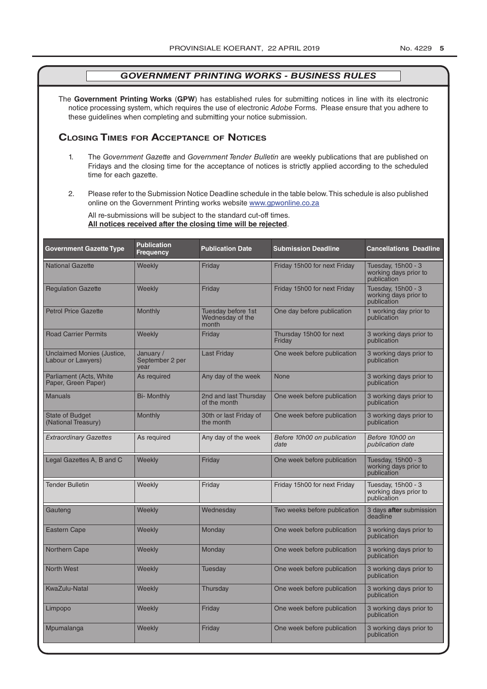The **Government Printing Works** (**GPW**) has established rules for submitting notices in line with its electronic notice processing system, which requires the use of electronic *Adobe* Forms. Please ensure that you adhere to these guidelines when completing and submitting your notice submission.

# **Closing Times for ACCepTAnCe of noTiCes**

- 1. The *Government Gazette* and *Government Tender Bulletin* are weekly publications that are published on Fridays and the closing time for the acceptance of notices is strictly applied according to the scheduled time for each gazette.
- 2. Please refer to the Submission Notice Deadline schedule in the table below. This schedule is also published online on the Government Printing works website www.gpwonline.co.za

All re-submissions will be subject to the standard cut-off times. **All notices received after the closing time will be rejected**.

| <b>Government Gazette Type</b>                   | <b>Publication</b><br><b>Frequency</b> | <b>Publication Date</b>                         | <b>Submission Deadline</b>          | <b>Cancellations Deadline</b>                              |
|--------------------------------------------------|----------------------------------------|-------------------------------------------------|-------------------------------------|------------------------------------------------------------|
| <b>National Gazette</b>                          | Weekly                                 | Friday                                          | Friday 15h00 for next Friday        | Tuesday, 15h00 - 3<br>working days prior to<br>publication |
| <b>Regulation Gazette</b>                        | Weekly                                 | Friday                                          | Friday 15h00 for next Friday        | Tuesday, 15h00 - 3<br>working days prior to<br>publication |
| <b>Petrol Price Gazette</b>                      | Monthly                                | Tuesday before 1st<br>Wednesday of the<br>month | One day before publication          | 1 working day prior to<br>publication                      |
| <b>Road Carrier Permits</b>                      | Weekly                                 | Friday                                          | Thursday 15h00 for next<br>Friday   | 3 working days prior to<br>publication                     |
| Unclaimed Monies (Justice,<br>Labour or Lawyers) | January /<br>September 2 per<br>vear   | <b>Last Friday</b>                              | One week before publication         | 3 working days prior to<br>publication                     |
| Parliament (Acts, White<br>Paper, Green Paper)   | As required                            | Any day of the week                             | None                                | 3 working days prior to<br>publication                     |
| <b>Manuals</b>                                   | <b>Bi- Monthly</b>                     | 2nd and last Thursday<br>of the month           | One week before publication         | 3 working days prior to<br>publication                     |
| <b>State of Budget</b><br>(National Treasury)    | Monthly                                | 30th or last Friday of<br>the month             | One week before publication         | 3 working days prior to<br>publication                     |
| <b>Extraordinary Gazettes</b>                    | As required                            | Any day of the week                             | Before 10h00 on publication<br>date | Before 10h00 on<br>publication date                        |
| Legal Gazettes A, B and C                        | Weekly                                 | Friday                                          | One week before publication         | Tuesday, 15h00 - 3<br>working days prior to<br>publication |
| <b>Tender Bulletin</b>                           | Weekly                                 | Friday                                          | Friday 15h00 for next Friday        | Tuesday, 15h00 - 3<br>working days prior to<br>publication |
| Gauteng                                          | Weekly                                 | Wednesday                                       | Two weeks before publication        | 3 days after submission<br>deadline                        |
| Eastern Cape                                     | Weekly                                 | <b>Monday</b>                                   | One week before publication         | 3 working days prior to<br>publication                     |
| Northern Cape                                    | Weekly                                 | Monday                                          | One week before publication         | 3 working days prior to<br>publication                     |
| <b>North West</b>                                | Weekly                                 | Tuesdav                                         | One week before publication         | 3 working days prior to<br>publication                     |
| KwaZulu-Natal                                    | Weekly                                 | Thursday                                        | One week before publication         | 3 working days prior to<br>publication                     |
| Limpopo                                          | Weekly                                 | Friday                                          | One week before publication         | 3 working days prior to<br>publication                     |
| Mpumalanga                                       | Weekly                                 | Friday                                          | One week before publication         | 3 working days prior to<br>publication                     |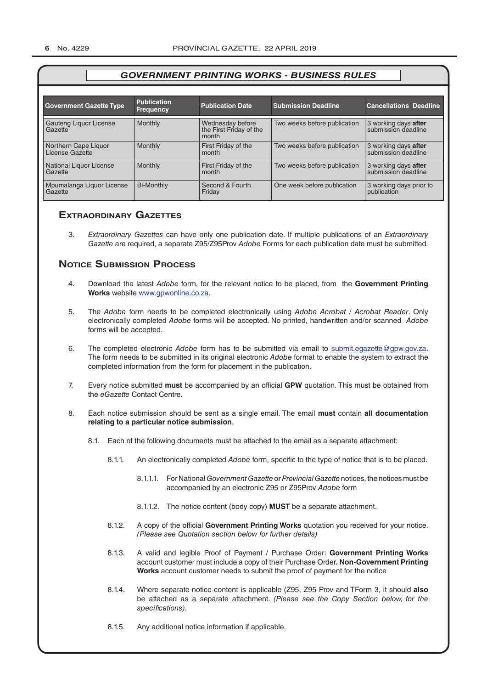| <b>Government Gazette Type</b>          | <b>Publication</b><br><b>Frequency</b> | <b>Publication Date</b>                              | <b>Submission Deadline</b>   | <b>Cancellations Deadline</b>               |
|-----------------------------------------|----------------------------------------|------------------------------------------------------|------------------------------|---------------------------------------------|
| Gauteng Liquor License<br>Gazette       | Monthly                                | Wednesday before<br>the First Friday of the<br>month | Two weeks before publication | 3 working days after<br>submission deadline |
| Northern Cape Liquor<br>License Gazette | Monthly                                | First Friday of the<br>month                         | Two weeks before publication | 3 working days after<br>submission deadline |
| National Liquor License<br>Gazette      | <b>Monthly</b>                         | First Friday of the<br>month                         | Two weeks before publication | 3 working days after<br>submission deadline |
| Mpumalanga Liquor License<br>Gazette    | <b>Bi-Monthly</b>                      | Second & Fourth<br>Friday                            | One week before publication  | 3 working days prior to<br>publication      |

# **exTrAordinAry gAzeTTes**

3. *Extraordinary Gazettes* can have only one publication date. If multiple publications of an *Extraordinary Gazette* are required, a separate Z95/Z95Prov *Adobe* Forms for each publication date must be submitted.

# **NOTICE SUBMISSION PROCESS**

- 4. Download the latest *Adobe* form, for the relevant notice to be placed, from the **Government Printing Works** website www.gpwonline.co.za.
- 5. The *Adobe* form needs to be completed electronically using *Adobe Acrobat* / *Acrobat Reader*. Only electronically completed *Adobe* forms will be accepted. No printed, handwritten and/or scanned *Adobe* forms will be accepted.
- 6. The completed electronic *Adobe* form has to be submitted via email to submit.egazette@gpw.gov.za. The form needs to be submitted in its original electronic *Adobe* format to enable the system to extract the completed information from the form for placement in the publication.
- 7. Every notice submitted **must** be accompanied by an official **GPW** quotation. This must be obtained from the *eGazette* Contact Centre.
- 8. Each notice submission should be sent as a single email. The email **must** contain **all documentation relating to a particular notice submission**.
	- 8.1. Each of the following documents must be attached to the email as a separate attachment:
		- 8.1.1. An electronically completed *Adobe* form, specific to the type of notice that is to be placed.
			- 8.1.1.1. For National *Government Gazette* or *Provincial Gazette* notices, the notices must be accompanied by an electronic Z95 or Z95Prov *Adobe* form
			- 8.1.1.2. The notice content (body copy) **MUST** be a separate attachment.
		- 8.1.2. A copy of the official **Government Printing Works** quotation you received for your notice. *(Please see Quotation section below for further details)*
		- 8.1.3. A valid and legible Proof of Payment / Purchase Order: **Government Printing Works** account customer must include a copy of their Purchase Order*.* **Non**-**Government Printing Works** account customer needs to submit the proof of payment for the notice
		- 8.1.4. Where separate notice content is applicable (Z95, Z95 Prov and TForm 3, it should **also** be attached as a separate attachment. *(Please see the Copy Section below, for the specifications)*.
		- 8.1.5. Any additional notice information if applicable.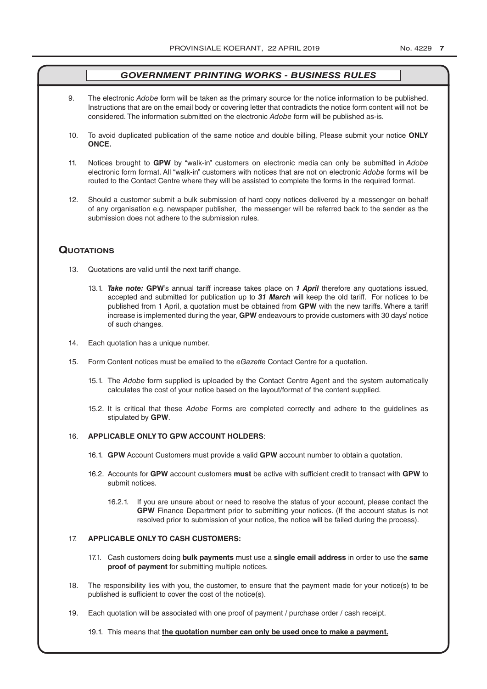- 9. The electronic *Adobe* form will be taken as the primary source for the notice information to be published. Instructions that are on the email body or covering letter that contradicts the notice form content will not be considered. The information submitted on the electronic *Adobe* form will be published as-is.
- 10. To avoid duplicated publication of the same notice and double billing, Please submit your notice **ONLY ONCE.**
- 11. Notices brought to **GPW** by "walk-in" customers on electronic media can only be submitted in *Adobe* electronic form format. All "walk-in" customers with notices that are not on electronic *Adobe* forms will be routed to the Contact Centre where they will be assisted to complete the forms in the required format.
- 12. Should a customer submit a bulk submission of hard copy notices delivered by a messenger on behalf of any organisation e.g. newspaper publisher, the messenger will be referred back to the sender as the submission does not adhere to the submission rules.

#### **QuoTATions**

- 13. Quotations are valid until the next tariff change.
	- 13.1. *Take note:* **GPW**'s annual tariff increase takes place on *1 April* therefore any quotations issued, accepted and submitted for publication up to *31 March* will keep the old tariff. For notices to be published from 1 April, a quotation must be obtained from **GPW** with the new tariffs. Where a tariff increase is implemented during the year, **GPW** endeavours to provide customers with 30 days' notice of such changes.
- 14. Each quotation has a unique number.
- 15. Form Content notices must be emailed to the *eGazette* Contact Centre for a quotation.
	- 15.1. The *Adobe* form supplied is uploaded by the Contact Centre Agent and the system automatically calculates the cost of your notice based on the layout/format of the content supplied.
	- 15.2. It is critical that these *Adobe* Forms are completed correctly and adhere to the guidelines as stipulated by **GPW**.

#### 16. **APPLICABLE ONLY TO GPW ACCOUNT HOLDERS**:

- 16.1. **GPW** Account Customers must provide a valid **GPW** account number to obtain a quotation.
- 16.2. Accounts for **GPW** account customers **must** be active with sufficient credit to transact with **GPW** to submit notices.
	- 16.2.1. If you are unsure about or need to resolve the status of your account, please contact the **GPW** Finance Department prior to submitting your notices. (If the account status is not resolved prior to submission of your notice, the notice will be failed during the process).

#### 17. **APPLICABLE ONLY TO CASH CUSTOMERS:**

- 17.1. Cash customers doing **bulk payments** must use a **single email address** in order to use the **same proof of payment** for submitting multiple notices.
- 18. The responsibility lies with you, the customer, to ensure that the payment made for your notice(s) to be published is sufficient to cover the cost of the notice(s).
- 19. Each quotation will be associated with one proof of payment / purchase order / cash receipt.

19.1. This means that **the quotation number can only be used once to make a payment.**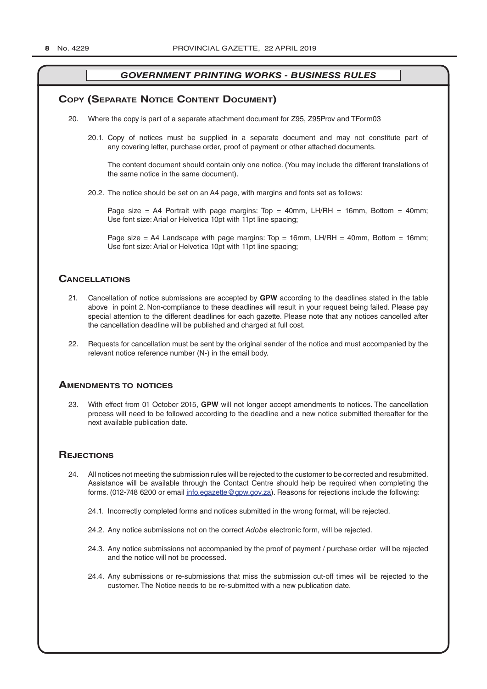# **COPY (SEPARATE NOTICE CONTENT DOCUMENT)**

- 20. Where the copy is part of a separate attachment document for Z95, Z95Prov and TForm03
	- 20.1. Copy of notices must be supplied in a separate document and may not constitute part of any covering letter, purchase order, proof of payment or other attached documents.

The content document should contain only one notice. (You may include the different translations of the same notice in the same document).

20.2. The notice should be set on an A4 page, with margins and fonts set as follows:

Page size = A4 Portrait with page margins: Top = 40mm, LH/RH = 16mm, Bottom = 40mm; Use font size: Arial or Helvetica 10pt with 11pt line spacing;

Page size = A4 Landscape with page margins:  $Top = 16mm$ , LH/RH = 40mm, Bottom = 16mm; Use font size: Arial or Helvetica 10pt with 11pt line spacing;

# **CAnCellATions**

- 21. Cancellation of notice submissions are accepted by **GPW** according to the deadlines stated in the table above in point 2. Non-compliance to these deadlines will result in your request being failed. Please pay special attention to the different deadlines for each gazette. Please note that any notices cancelled after the cancellation deadline will be published and charged at full cost.
- 22. Requests for cancellation must be sent by the original sender of the notice and must accompanied by the relevant notice reference number (N-) in the email body.

#### **AmendmenTs To noTiCes**

23. With effect from 01 October 2015, **GPW** will not longer accept amendments to notices. The cancellation process will need to be followed according to the deadline and a new notice submitted thereafter for the next available publication date.

#### **REJECTIONS**

- 24. All notices not meeting the submission rules will be rejected to the customer to be corrected and resubmitted. Assistance will be available through the Contact Centre should help be required when completing the forms. (012-748 6200 or email info.egazette@gpw.gov.za). Reasons for rejections include the following:
	- 24.1. Incorrectly completed forms and notices submitted in the wrong format, will be rejected.
	- 24.2. Any notice submissions not on the correct *Adobe* electronic form, will be rejected.
	- 24.3. Any notice submissions not accompanied by the proof of payment / purchase order will be rejected and the notice will not be processed.
	- 24.4. Any submissions or re-submissions that miss the submission cut-off times will be rejected to the customer. The Notice needs to be re-submitted with a new publication date.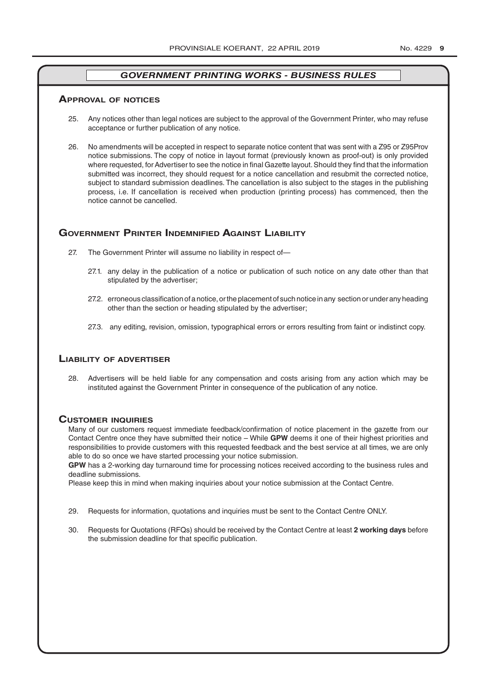#### **ApprovAl of noTiCes**

- 25. Any notices other than legal notices are subject to the approval of the Government Printer, who may refuse acceptance or further publication of any notice.
- 26. No amendments will be accepted in respect to separate notice content that was sent with a Z95 or Z95Prov notice submissions. The copy of notice in layout format (previously known as proof-out) is only provided where requested, for Advertiser to see the notice in final Gazette layout. Should they find that the information submitted was incorrect, they should request for a notice cancellation and resubmit the corrected notice, subject to standard submission deadlines. The cancellation is also subject to the stages in the publishing process, i.e. If cancellation is received when production (printing process) has commenced, then the notice cannot be cancelled.

# **governmenT prinTer indemnified AgAinsT liAbiliTy**

- 27. The Government Printer will assume no liability in respect of—
	- 27.1. any delay in the publication of a notice or publication of such notice on any date other than that stipulated by the advertiser;
	- 27.2. erroneous classification of a notice, or the placement of such notice in any section or under any heading other than the section or heading stipulated by the advertiser;
	- 27.3. any editing, revision, omission, typographical errors or errors resulting from faint or indistinct copy.

#### **liAbiliTy of AdverTiser**

28. Advertisers will be held liable for any compensation and costs arising from any action which may be instituted against the Government Printer in consequence of the publication of any notice.

#### **CusTomer inQuiries**

Many of our customers request immediate feedback/confirmation of notice placement in the gazette from our Contact Centre once they have submitted their notice – While **GPW** deems it one of their highest priorities and responsibilities to provide customers with this requested feedback and the best service at all times, we are only able to do so once we have started processing your notice submission.

**GPW** has a 2-working day turnaround time for processing notices received according to the business rules and deadline submissions.

Please keep this in mind when making inquiries about your notice submission at the Contact Centre.

- 29. Requests for information, quotations and inquiries must be sent to the Contact Centre ONLY.
- 30. Requests for Quotations (RFQs) should be received by the Contact Centre at least **2 working days** before the submission deadline for that specific publication.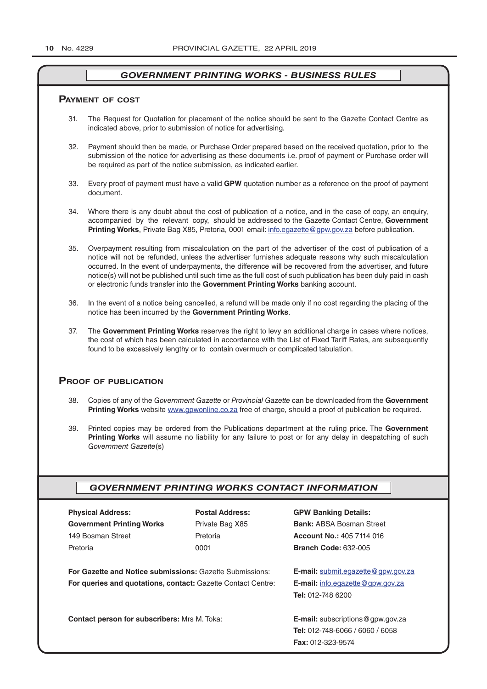#### **pAymenT of CosT**

- 31. The Request for Quotation for placement of the notice should be sent to the Gazette Contact Centre as indicated above, prior to submission of notice for advertising.
- 32. Payment should then be made, or Purchase Order prepared based on the received quotation, prior to the submission of the notice for advertising as these documents i.e. proof of payment or Purchase order will be required as part of the notice submission, as indicated earlier.
- 33. Every proof of payment must have a valid **GPW** quotation number as a reference on the proof of payment document.
- 34. Where there is any doubt about the cost of publication of a notice, and in the case of copy, an enquiry, accompanied by the relevant copy, should be addressed to the Gazette Contact Centre, **Government Printing Works**, Private Bag X85, Pretoria, 0001 email: info.egazette@gpw.gov.za before publication.
- 35. Overpayment resulting from miscalculation on the part of the advertiser of the cost of publication of a notice will not be refunded, unless the advertiser furnishes adequate reasons why such miscalculation occurred. In the event of underpayments, the difference will be recovered from the advertiser, and future notice(s) will not be published until such time as the full cost of such publication has been duly paid in cash or electronic funds transfer into the **Government Printing Works** banking account.
- 36. In the event of a notice being cancelled, a refund will be made only if no cost regarding the placing of the notice has been incurred by the **Government Printing Works**.
- 37. The **Government Printing Works** reserves the right to levy an additional charge in cases where notices, the cost of which has been calculated in accordance with the List of Fixed Tariff Rates, are subsequently found to be excessively lengthy or to contain overmuch or complicated tabulation.

# **proof of publiCATion**

- 38. Copies of any of the *Government Gazette* or *Provincial Gazette* can be downloaded from the **Government Printing Works** website www.gpwonline.co.za free of charge, should a proof of publication be required.
- 39. Printed copies may be ordered from the Publications department at the ruling price. The **Government Printing Works** will assume no liability for any failure to post or for any delay in despatching of such *Government Gazette*(s)

### *GOVERNMENT PRINTING WORKS CONTACT INFORMATION*

| <b>PRYSICAL AQUIPSS:</b>         |
|----------------------------------|
| <b>Government Printing Works</b> |
| 149 Bosman Street                |
| Pretoria                         |
|                                  |

**For Gazette and Notice submissions:** Gazette Submissions: **E-mail:** submit.egazette@gpw.gov.za **For queries and quotations, contact:** Gazette Contact Centre: **E-mail:** info.egazette@gpw.gov.za

**Contact person for subscribers:** Mrs M. Toka: **E-mail:** subscriptions@gpw.gov.za

**Physical Address: Postal Address: GPW Banking Details:**

Private Bag X85 **Bank:** ABSA Bosman Street 149 Bosman Street Pretoria **Account No.:** 405 7114 016 Pretoria 0001 **Branch Code:** 632-005

**Tel:** 012-748 6200

**Tel:** 012-748-6066 / 6060 / 6058 **Fax:** 012-323-9574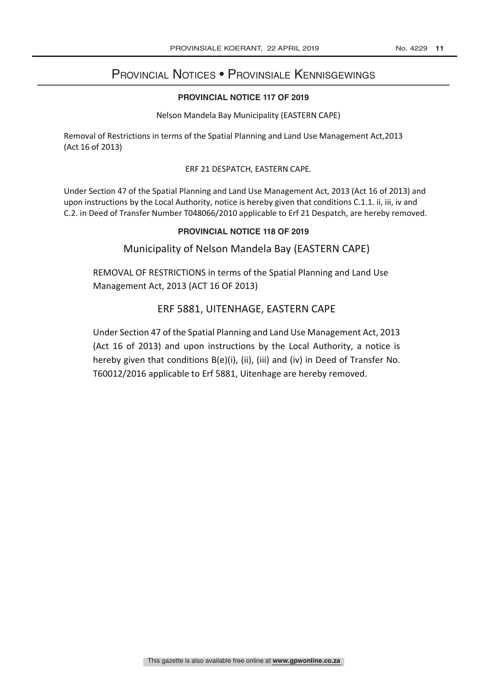# Provincial Notices • Provinsiale Kennisgewings

# **PROVINCIAL NOTICE 117 OF 2019**

#### Nelson Mandela Bay Municipality (EASTERN CAPE)

Removal of Restrictions in terms of the Spatial Planning and Land Use Management Act,2013 (Act 16 of 2013)

#### ERF 21 DESPATCH, EASTERN CAPE.

Under Section 47 of the Spatial Planning and Land Use Management Act, 2013 (Act 16 of 2013) and upon instructions by the Local Authority, notice is hereby given that conditions C.1.1. ii, iii, iv and C.2. in Deed of Transfer Number T048066/2010 applicable to Erf 21 Despatch, are hereby removed.

# **PROVINCIAL NOTICE 118 OF 2019**

Municipality of Nelson Mandela Bay (EASTERN CAPE)

REMOVAL OF RESTRICTIONS in terms of the Spatial Planning and Land Use Management Act, 2013 (ACT 16 OF 2013)

# ERF 5881, UITENHAGE, EASTERN CAPE

Under Section 47 of the Spatial Planning and Land Use Management Act, 2013 (Act 16 of 2013) and upon instructions by the Local Authority, a notice is hereby given that conditions  $B(e)(i)$ , (ii), (iii) and (iv) in Deed of Transfer No. T60012/2016 applicable to Erf 5881, Uitenhage are hereby removed.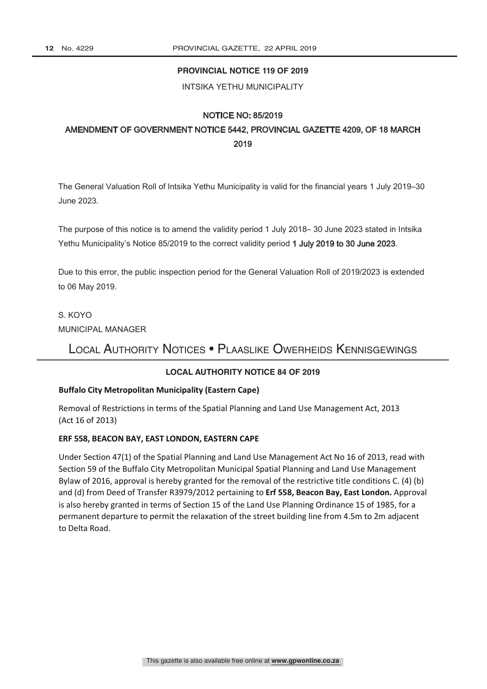### **PROVINCIAL NOTICE 119 OF 2019**

INTSIKA YETHU MUNICIPALITY

# NOTICE NO: 85/2019

# AMENDMENT OF GOVERNMENT NOTICE 5442, PROVINCIAL GAZETTE 4209, OF 18 MARCH 2019

The General Valuation Roll of Intsika Yethu Municipality is valid for the financial years 1 July 2019–30 June 2023.

The purpose of this notice is to amend the validity period 1 July 2018– 30 June 2023 stated in Intsika Yethu Municipality's Notice 85/2019 to the correct validity period 1 July 2019 to 30 June 2023.

Due to this error, the public inspection period for the General Valuation Roll of 2019/2023 is extended to 06 May 2019.

S. KOYO MUNICIPAL MANAGER

# Local Authority Notices • Plaaslike Owerheids Kennisgewings

# **LOCAL AUTHORITY NOTICE 84 OF 2019**

## **Buffalo City Metropolitan Municipality (Eastern Cape)**

Removal of Restrictions in terms of the Spatial Planning and Land Use Management Act, 2013 (Act 16 of 2013)

## **ERF 558, BEACON BAY, EAST LONDON, EASTERN CAPE**

Under Section 47(1) of the Spatial Planning and Land Use Management Act No 16 of 2013, read with Section 59 of the Buffalo City Metropolitan Municipal Spatial Planning and Land Use Management Bylaw of 2016, approval is hereby granted for the removal of the restrictive title conditions C. (4) (b) and (d) from Deed of Transfer R3979/2012 pertaining to **Erf 558, Beacon Bay, East London.** Approval is also hereby granted in terms of Section 15 of the Land Use Planning Ordinance 15 of 1985, for a permanent departure to permit the relaxation of the street building line from 4.5m to 2m adjacent to Delta Road.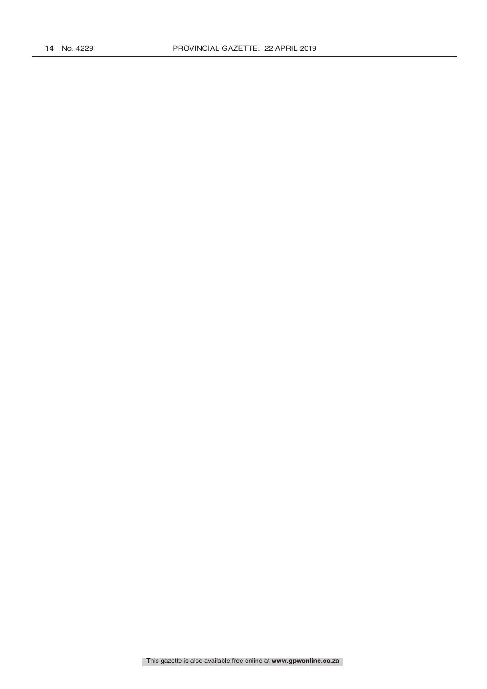This gazette is also available free online at **www.gpwonline.co.za**